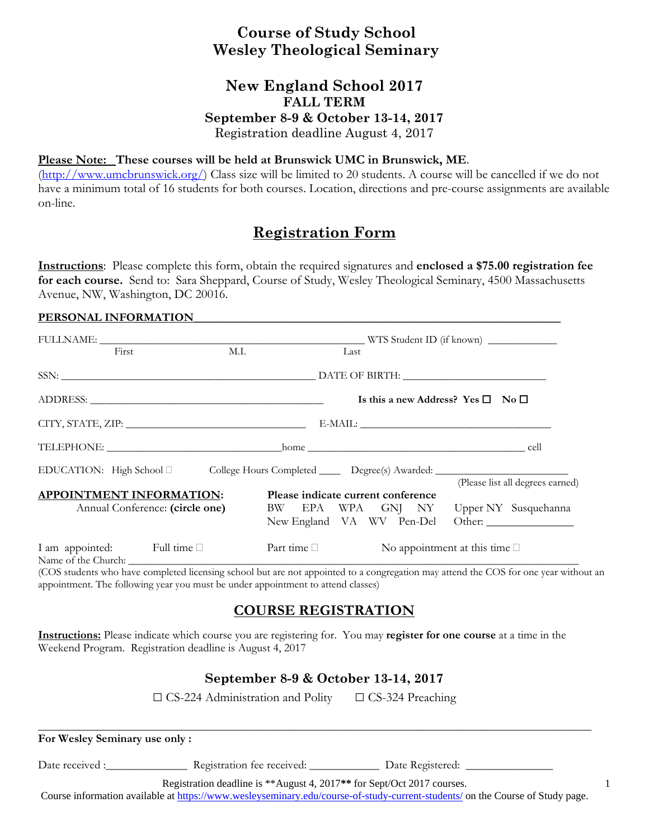# **Course of Study School Wesley Theological Seminary**

### **New England School 2017 FALL TERM September 8-9 & October 13-14, 2017**  Registration deadline August 4, 2017

#### **Please Note: These courses will be held at Brunswick UMC in Brunswick, ME**.

(http://www.umcbrunswick.org/) Class size will be limited to 20 students. A course will be cancelled if we do not have a minimum total of 16 students for both courses. Location, directions and pre-course assignments are available on-line.

# **Registration Form**

**Instructions**: Please complete this form, obtain the required signatures and **enclosed a \$75.00 registration fee for each course.** Send to: Sara Sheppard, Course of Study, Wesley Theological Seminary, 4500 Massachusetts Avenue, NW, Washington, DC 20016.

#### PERSONAL INFORMATION

| First                     | M.I.                                                                                                |                                                                            | Last |  |                                                   |                                  |
|---------------------------|-----------------------------------------------------------------------------------------------------|----------------------------------------------------------------------------|------|--|---------------------------------------------------|----------------------------------|
|                           |                                                                                                     |                                                                            |      |  |                                                   |                                  |
|                           |                                                                                                     |                                                                            |      |  | Is this a new Address? Yes $\square$ No $\square$ |                                  |
|                           |                                                                                                     |                                                                            |      |  |                                                   |                                  |
|                           |                                                                                                     |                                                                            |      |  |                                                   |                                  |
|                           | EDUCATION: High School □ College Hours Completed _______ Degree(s) Awarded: _______________________ |                                                                            |      |  |                                                   |                                  |
|                           | <b>APPOINTMENT INFORMATION:</b>                                                                     | Please indicate current conference                                         |      |  |                                                   | (Please list all degrees earned) |
|                           | Annual Conference: (circle one)                                                                     | BW EPA WPA GNJ NY Upper NY Susquehanna<br>New England VA WV Pen-Del Other: |      |  |                                                   |                                  |
| I am appointed: Full time |                                                                                                     | Part time $\Box$                                                           |      |  | No appointment at this time $\square$             |                                  |

(COS students who have completed licensing school but are not appointed to a congregation may attend the COS for one year without an appointment. The following year you must be under appointment to attend classes)

## **COURSE REGISTRATION**

**Instructions:** Please indicate which course you are registering for. You may **register for one course** at a time in the Weekend Program. Registration deadline is August 4, 2017

### **September 8-9 & October 13-14, 2017**

 $\Box$  CS-224 Administration and Polity  $\Box$  CS-324 Preaching

| For Wesley Seminary use only:                                                                                                                                                                           |                            |                  |  |  |  |
|---------------------------------------------------------------------------------------------------------------------------------------------------------------------------------------------------------|----------------------------|------------------|--|--|--|
| Date received :                                                                                                                                                                                         | Registration fee received: | Date Registered: |  |  |  |
| Registration deadline is **August 4, 2017** for Sept/Oct 2017 courses.<br>Course information available at https://www.wesleyseminary.edu/course-of-study-current-students/ on the Course of Study page. |                            |                  |  |  |  |

1